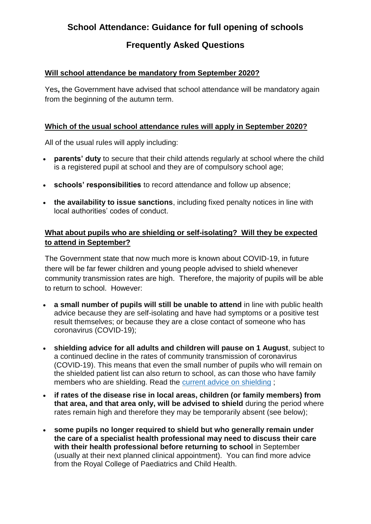# **School Attendance: Guidance for full opening of schools**

## **Frequently Asked Questions**

#### **Will school attendance be mandatory from September 2020?**

Yes**,** the Government have advised that school attendance will be mandatory again from the beginning of the autumn term.

#### **Which of the usual school attendance rules will apply in September 2020?**

All of the usual rules will apply including:

- **parents' duty** to secure that their child attends regularly at school where the child is a registered pupil at school and they are of compulsory school age;
- **schools' responsibilities** to record attendance and follow up absence;
- **the availability to issue sanctions**, including fixed penalty notices in line with local authorities' codes of conduct.

### **What about pupils who are shielding or self-isolating? Will they be expected to attend in September?**

The Government state that now much more is known about COVID-19, in future there will be far fewer children and young people advised to shield whenever community transmission rates are high. Therefore, the majority of pupils will be able to return to school. However:

- **a small number of pupils will still be unable to attend** in line with public health advice because they are self-isolating and have had symptoms or a positive test result themselves; or because they are a close contact of someone who has coronavirus (COVID-19);
- **shielding advice for all adults and children will pause on 1 August**, subject to a continued decline in the rates of community transmission of coronavirus (COVID-19). This means that even the small number of pupils who will remain on the shielded patient list can also return to school, as can those who have family members who are shielding. Read the current advice on [shielding](https://www.gov.uk/government/publications/guidance-on-shielding-and-protecting-extremely-vulnerable-persons-from-covid-19/guidance-on-shielding-and-protecting-extremely-vulnerable-persons-from-covid-19) ;
- **if rates of the disease rise in local areas, children (or family members) from that area, and that area only, will be advised to shield** during the period where rates remain high and therefore they may be temporarily absent (see below);
- **some pupils no longer required to shield but who generally remain under the care of a specialist health professional may need to discuss their care with their health professional before returning to school** in September (usually at their next planned clinical appointment). You can find more advice from the Royal College of Paediatrics and Child Health.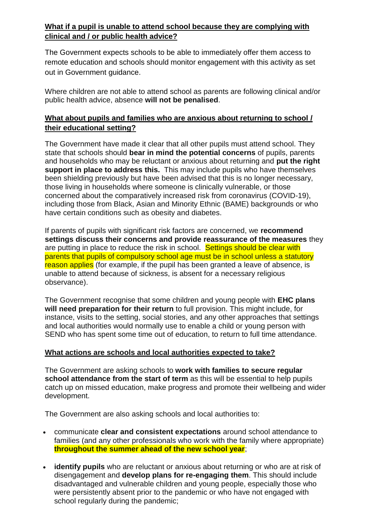## **What if a pupil is unable to attend school because they are complying with clinical and / or public health advice?**

The Government expects schools to be able to immediately offer them access to remote education and schools should monitor engagement with this activity as set out in Government guidance.

Where children are not able to attend school as parents are following clinical and/or public health advice, absence **will not be penalised**.

### **What about pupils and families who are anxious about returning to school / their educational setting?**

The Government have made it clear that all other pupils must attend school. They state that schools should **bear in mind the potential concerns** of pupils, parents and households who may be reluctant or anxious about returning and **put the right support in place to address this.** This may include pupils who have themselves been shielding previously but have been advised that this is no longer necessary, those living in households where someone is clinically vulnerable, or those concerned about the comparatively increased risk from coronavirus (COVID-19), including those from Black, Asian and Minority Ethnic (BAME) backgrounds or who have certain conditions such as obesity and diabetes.

If parents of pupils with significant risk factors are concerned, we **recommend settings discuss their concerns and provide reassurance of the measures** they are putting in place to reduce the risk in school. Settings should be clear with parents that pupils of compulsory school age must be in school unless a statutory reason applies (for example, if the pupil has been granted a leave of absence, is unable to attend because of sickness, is absent for a necessary religious observance).

The Government recognise that some children and young people with **EHC plans will need preparation for their return** to full provision. This might include, for instance, visits to the setting, social stories, and any other approaches that settings and local authorities would normally use to enable a child or young person with SEND who has spent some time out of education, to return to full time attendance.

#### **What actions are schools and local authorities expected to take?**

The Government are asking schools to **work with families to secure regular school attendance from the start of term** as this will be essential to help pupils catch up on missed education, make progress and promote their wellbeing and wider development.

The Government are also asking schools and local authorities to:

- communicate **clear and consistent expectations** around school attendance to families (and any other professionals who work with the family where appropriate) **throughout the summer ahead of the new school year**;
- **identify pupils** who are reluctant or anxious about returning or who are at risk of disengagement and **develop plans for re-engaging them**. This should include disadvantaged and vulnerable children and young people, especially those who were persistently absent prior to the pandemic or who have not engaged with school regularly during the pandemic: